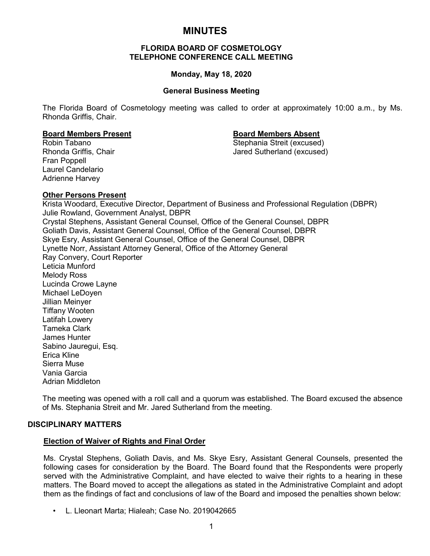# **MINUTES**

## **FLORIDA BOARD OF COSMETOLOGY TELEPHONE CONFERENCE CALL MEETING**

## **Monday, May 18, 2020**

## **General Business Meeting**

The Florida Board of Cosmetology meeting was called to order at approximately 10:00 a.m., by Ms. Rhonda Griffis, Chair.

Fran Poppell Laurel Candelario Adrienne Harvey

**Board Members Present Board Members Absent** Robin Tabano Stephania Streit (excused) Jared Sutherland (excused)

## **Other Persons Present**

Krista Woodard, Executive Director, Department of Business and Professional Regulation (DBPR) Julie Rowland, Government Analyst, DBPR Crystal Stephens, Assistant General Counsel, Office of the General Counsel, DBPR Goliath Davis, Assistant General Counsel, Office of the General Counsel, DBPR Skye Esry, Assistant General Counsel, Office of the General Counsel, DBPR Lynette Norr, Assistant Attorney General, Office of the Attorney General Ray Convery, Court Reporter Leticia Munford Melody Ross Lucinda Crowe Layne Michael LeDoyen Jillian Meinyer Tiffany Wooten Latifah Lowery Tameka Clark James Hunter Sabino Jauregui, Esq. Erica Kline Sierra Muse Vania Garcia Adrian Middleton

The meeting was opened with a roll call and a quorum was established. The Board excused the absence of Ms. Stephania Streit and Mr. Jared Sutherland from the meeting.

## **DISCIPLINARY MATTERS**

## **Election of Waiver of Rights and Final Order**

Ms. Crystal Stephens, Goliath Davis, and Ms. Skye Esry, Assistant General Counsels, presented the following cases for consideration by the Board. The Board found that the Respondents were properly served with the Administrative Complaint, and have elected to waive their rights to a hearing in these matters. The Board moved to accept the allegations as stated in the Administrative Complaint and adopt them as the findings of fact and conclusions of law of the Board and imposed the penalties shown below:

• L. Lleonart Marta; Hialeah; Case No. 2019042665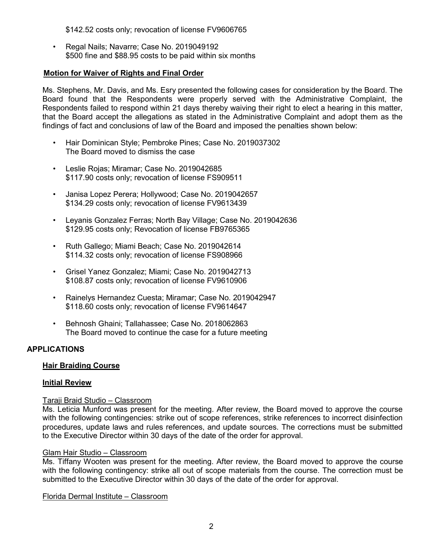\$142.52 costs only; revocation of license FV9606765

• Regal Nails; Navarre; Case No. 2019049192 \$500 fine and \$88.95 costs to be paid within six months

## **Motion for Waiver of Rights and Final Order**

Ms. Stephens, Mr. Davis, and Ms. Esry presented the following cases for consideration by the Board. The Board found that the Respondents were properly served with the Administrative Complaint, the Respondents failed to respond within 21 days thereby waiving their right to elect a hearing in this matter, that the Board accept the allegations as stated in the Administrative Complaint and adopt them as the findings of fact and conclusions of law of the Board and imposed the penalties shown below:

- Hair Dominican Style; Pembroke Pines; Case No. 2019037302 The Board moved to dismiss the case
- Leslie Rojas; Miramar; Case No. 2019042685 \$117.90 costs only; revocation of license FS909511
- Janisa Lopez Perera; Hollywood; Case No. 2019042657 \$134.29 costs only; revocation of license FV9613439
- Leyanis Gonzalez Ferras; North Bay Village; Case No. 2019042636 \$129.95 costs only; Revocation of license FB9765365
- Ruth Gallego; Miami Beach; Case No. 2019042614 \$114.32 costs only; revocation of license FS908966
- Grisel Yanez Gonzalez; Miami; Case No. 2019042713 \$108.87 costs only; revocation of license FV9610906
- Rainelys Hernandez Cuesta; Miramar; Case No. 2019042947 \$118.60 costs only; revocation of license FV9614647
- Behnosh Ghaini; Tallahassee; Case No. 2018062863 The Board moved to continue the case for a future meeting

## **APPLICATIONS**

## **Hair Braiding Course**

## **Initial Review**

## Taraji Braid Studio – Classroom

Ms. Leticia Munford was present for the meeting. After review, the Board moved to approve the course with the following contingencies: strike out of scope references, strike references to incorrect disinfection procedures, update laws and rules references, and update sources. The corrections must be submitted to the Executive Director within 30 days of the date of the order for approval.

## Glam Hair Studio – Classroom

Ms. Tiffany Wooten was present for the meeting. After review, the Board moved to approve the course with the following contingency: strike all out of scope materials from the course. The correction must be submitted to the Executive Director within 30 days of the date of the order for approval.

Florida Dermal Institute – Classroom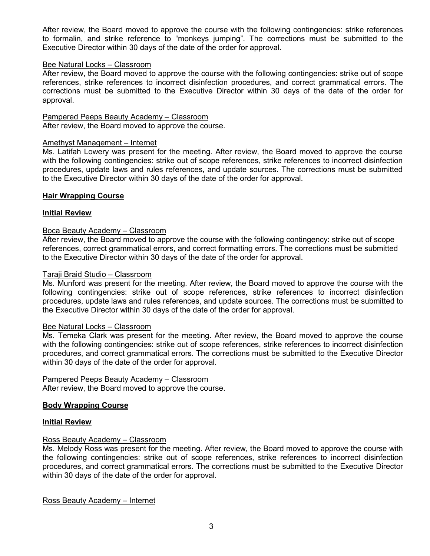After review, the Board moved to approve the course with the following contingencies: strike references to formalin, and strike reference to "monkeys jumping". The corrections must be submitted to the Executive Director within 30 days of the date of the order for approval.

## Bee Natural Locks – Classroom

After review, the Board moved to approve the course with the following contingencies: strike out of scope references, strike references to incorrect disinfection procedures, and correct grammatical errors. The corrections must be submitted to the Executive Director within 30 days of the date of the order for approval.

## Pampered Peeps Beauty Academy – Classroom

After review, the Board moved to approve the course.

## Amethyst Management – Internet

Ms. Latifah Lowery was present for the meeting. After review, the Board moved to approve the course with the following contingencies: strike out of scope references, strike references to incorrect disinfection procedures, update laws and rules references, and update sources. The corrections must be submitted to the Executive Director within 30 days of the date of the order for approval.

## **Hair Wrapping Course**

## **Initial Review**

## Boca Beauty Academy – Classroom

After review, the Board moved to approve the course with the following contingency: strike out of scope references, correct grammatical errors, and correct formatting errors. The corrections must be submitted to the Executive Director within 30 days of the date of the order for approval.

#### Taraji Braid Studio – Classroom

Ms. Munford was present for the meeting. After review, the Board moved to approve the course with the following contingencies: strike out of scope references, strike references to incorrect disinfection procedures, update laws and rules references, and update sources. The corrections must be submitted to the Executive Director within 30 days of the date of the order for approval.

## Bee Natural Locks – Classroom

Ms. Temeka Clark was present for the meeting. After review, the Board moved to approve the course with the following contingencies: strike out of scope references, strike references to incorrect disinfection procedures, and correct grammatical errors. The corrections must be submitted to the Executive Director within 30 days of the date of the order for approval.

## Pampered Peeps Beauty Academy – Classroom

After review, the Board moved to approve the course.

## **Body Wrapping Course**

## **Initial Review**

## Ross Beauty Academy – Classroom

Ms. Melody Ross was present for the meeting. After review, the Board moved to approve the course with the following contingencies: strike out of scope references, strike references to incorrect disinfection procedures, and correct grammatical errors. The corrections must be submitted to the Executive Director within 30 days of the date of the order for approval.

Ross Beauty Academy – Internet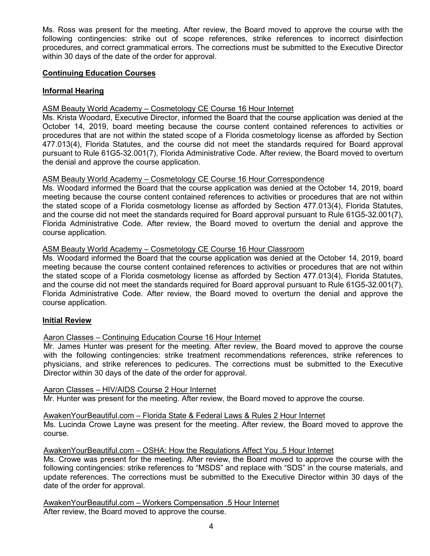Ms. Ross was present for the meeting. After review, the Board moved to approve the course with the following contingencies: strike out of scope references, strike references to incorrect disinfection procedures, and correct grammatical errors. The corrections must be submitted to the Executive Director within 30 days of the date of the order for approval.

## **Continuing Education Courses**

# **Informal Hearing**

# ASM Beauty World Academy – Cosmetology CE Course 16 Hour Internet

Ms. Krista Woodard, Executive Director, informed the Board that the course application was denied at the October 14, 2019, board meeting because the course content contained references to activities or procedures that are not within the stated scope of a Florida cosmetology license as afforded by Section 477.013(4), Florida Statutes, and the course did not meet the standards required for Board approval pursuant to Rule 61G5-32.001(7), Florida Administrative Code. After review, the Board moved to overturn the denial and approve the course application.

## ASM Beauty World Academy – Cosmetology CE Course 16 Hour Correspondence

Ms. Woodard informed the Board that the course application was denied at the October 14, 2019, board meeting because the course content contained references to activities or procedures that are not within the stated scope of a Florida cosmetology license as afforded by Section 477.013(4), Florida Statutes, and the course did not meet the standards required for Board approval pursuant to Rule 61G5-32.001(7), Florida Administrative Code. After review, the Board moved to overturn the denial and approve the course application.

## ASM Beauty World Academy – Cosmetology CE Course 16 Hour Classroom

Ms. Woodard informed the Board that the course application was denied at the October 14, 2019, board meeting because the course content contained references to activities or procedures that are not within the stated scope of a Florida cosmetology license as afforded by Section 477.013(4), Florida Statutes, and the course did not meet the standards required for Board approval pursuant to Rule 61G5-32.001(7), Florida Administrative Code. After review, the Board moved to overturn the denial and approve the course application.

## **Initial Review**

# Aaron Classes – Continuing Education Course 16 Hour Internet

Mr. James Hunter was present for the meeting. After review, the Board moved to approve the course with the following contingencies: strike treatment recommendations references, strike references to physicians, and strike references to pedicures. The corrections must be submitted to the Executive Director within 30 days of the date of the order for approval.

## Aaron Classes – HIV/AIDS Course 2 Hour Internet

Mr. Hunter was present for the meeting. After review, the Board moved to approve the course.

## AwakenYourBeautiful.com – Florida State & Federal Laws & Rules 2 Hour Internet

Ms. Lucinda Crowe Layne was present for the meeting. After review, the Board moved to approve the course.

AwakenYourBeautiful.com – OSHA: How the Regulations Affect You .5 Hour Internet

Ms. Crowe was present for the meeting. After review, the Board moved to approve the course with the following contingencies: strike references to "MSDS" and replace with "SDS" in the course materials, and update references. The corrections must be submitted to the Executive Director within 30 days of the date of the order for approval.

AwakenYourBeautiful.com – Workers Compensation .5 Hour Internet After review, the Board moved to approve the course.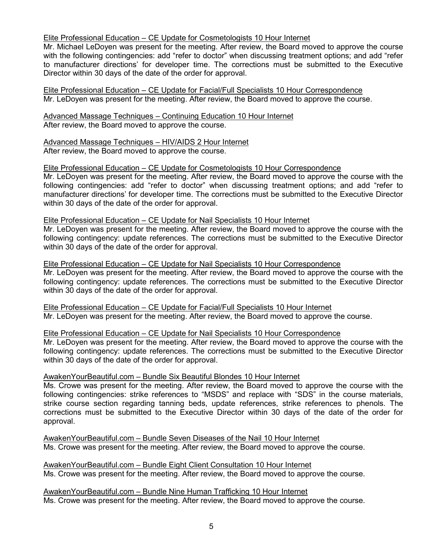## Elite Professional Education – CE Update for Cosmetologists 10 Hour Internet

Mr. Michael LeDoyen was present for the meeting. After review, the Board moved to approve the course with the following contingencies: add "refer to doctor" when discussing treatment options; and add "refer to manufacturer directions' for developer time. The corrections must be submitted to the Executive Director within 30 days of the date of the order for approval.

Elite Professional Education – CE Update for Facial/Full Specialists 10 Hour Correspondence Mr. LeDoyen was present for the meeting. After review, the Board moved to approve the course.

Advanced Massage Techniques – Continuing Education 10 Hour Internet After review, the Board moved to approve the course.

Advanced Massage Techniques – HIV/AIDS 2 Hour Internet After review, the Board moved to approve the course.

#### Elite Professional Education – CE Update for Cosmetologists 10 Hour Correspondence

Mr. LeDoyen was present for the meeting. After review, the Board moved to approve the course with the following contingencies: add "refer to doctor" when discussing treatment options; and add "refer to manufacturer directions' for developer time. The corrections must be submitted to the Executive Director within 30 days of the date of the order for approval.

## Elite Professional Education – CE Update for Nail Specialists 10 Hour Internet

Mr. LeDoyen was present for the meeting. After review, the Board moved to approve the course with the following contingency: update references. The corrections must be submitted to the Executive Director within 30 days of the date of the order for approval.

#### Elite Professional Education – CE Update for Nail Specialists 10 Hour Correspondence

Mr. LeDoyen was present for the meeting. After review, the Board moved to approve the course with the following contingency: update references. The corrections must be submitted to the Executive Director within 30 days of the date of the order for approval.

Elite Professional Education – CE Update for Facial/Full Specialists 10 Hour Internet Mr. LeDoyen was present for the meeting. After review, the Board moved to approve the course.

#### Elite Professional Education – CE Update for Nail Specialists 10 Hour Correspondence

Mr. LeDoyen was present for the meeting. After review, the Board moved to approve the course with the following contingency: update references. The corrections must be submitted to the Executive Director within 30 days of the date of the order for approval.

#### AwakenYourBeautiful.com – Bundle Six Beautiful Blondes 10 Hour Internet

Ms. Crowe was present for the meeting. After review, the Board moved to approve the course with the following contingencies: strike references to "MSDS" and replace with "SDS" in the course materials, strike course section regarding tanning beds, update references, strike references to phenols. The corrections must be submitted to the Executive Director within 30 days of the date of the order for approval.

AwakenYourBeautiful.com – Bundle Seven Diseases of the Nail 10 Hour Internet Ms. Crowe was present for the meeting. After review, the Board moved to approve the course.

AwakenYourBeautiful.com – Bundle Eight Client Consultation 10 Hour Internet Ms. Crowe was present for the meeting. After review, the Board moved to approve the course.

AwakenYourBeautiful.com – Bundle Nine Human Trafficking 10 Hour Internet Ms. Crowe was present for the meeting. After review, the Board moved to approve the course.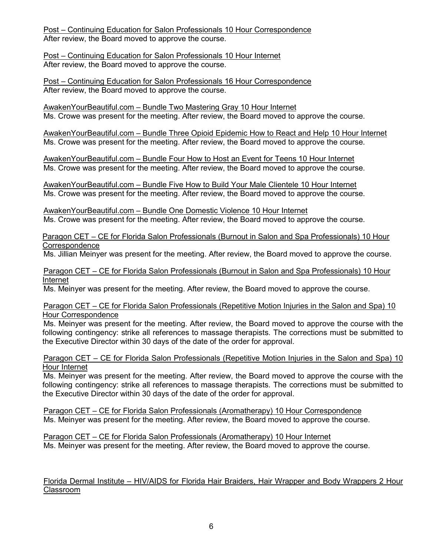Post – Continuing Education for Salon Professionals 10 Hour Correspondence After review, the Board moved to approve the course.

Post – Continuing Education for Salon Professionals 10 Hour Internet After review, the Board moved to approve the course.

Post – Continuing Education for Salon Professionals 16 Hour Correspondence After review, the Board moved to approve the course.

AwakenYourBeautiful.com – Bundle Two Mastering Gray 10 Hour Internet Ms. Crowe was present for the meeting. After review, the Board moved to approve the course.

AwakenYourBeautiful.com – Bundle Three Opioid Epidemic How to React and Help 10 Hour Internet Ms. Crowe was present for the meeting. After review, the Board moved to approve the course.

AwakenYourBeautiful.com – Bundle Four How to Host an Event for Teens 10 Hour Internet Ms. Crowe was present for the meeting. After review, the Board moved to approve the course.

AwakenYourBeautiful.com – Bundle Five How to Build Your Male Clientele 10 Hour Internet Ms. Crowe was present for the meeting. After review, the Board moved to approve the course.

AwakenYourBeautiful.com – Bundle One Domestic Violence 10 Hour Internet Ms. Crowe was present for the meeting. After review, the Board moved to approve the course.

Paragon CET – CE for Florida Salon Professionals (Burnout in Salon and Spa Professionals) 10 Hour **Correspondence** 

Ms. Jillian Meinyer was present for the meeting. After review, the Board moved to approve the course.

Paragon CET – CE for Florida Salon Professionals (Burnout in Salon and Spa Professionals) 10 Hour Internet

Ms. Meinyer was present for the meeting. After review, the Board moved to approve the course.

Paragon CET – CE for Florida Salon Professionals (Repetitive Motion Injuries in the Salon and Spa) 10 Hour Correspondence

Ms. Meinyer was present for the meeting. After review, the Board moved to approve the course with the following contingency: strike all references to massage therapists. The corrections must be submitted to the Executive Director within 30 days of the date of the order for approval.

Paragon CET – CE for Florida Salon Professionals (Repetitive Motion Injuries in the Salon and Spa) 10 Hour Internet

Ms. Meinyer was present for the meeting. After review, the Board moved to approve the course with the following contingency: strike all references to massage therapists. The corrections must be submitted to the Executive Director within 30 days of the date of the order for approval.

Paragon CET – CE for Florida Salon Professionals (Aromatherapy) 10 Hour Correspondence Ms. Meinyer was present for the meeting. After review, the Board moved to approve the course.

Paragon CET – CE for Florida Salon Professionals (Aromatherapy) 10 Hour Internet Ms. Meinyer was present for the meeting. After review, the Board moved to approve the course.

Florida Dermal Institute – HIV/AIDS for Florida Hair Braiders, Hair Wrapper and Body Wrappers 2 Hour Classroom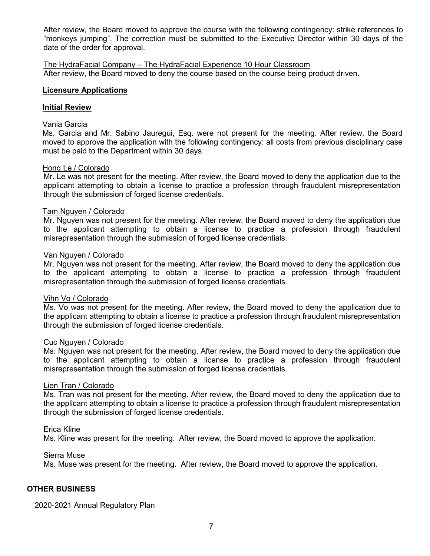After review, the Board moved to approve the course with the following contingency: strike references to "monkeys jumping". The correction must be submitted to the Executive Director within 30 days of the date of the order for approval.

The HydraFacial Company – The HydraFacial Experience 10 Hour Classroom After review, the Board moved to deny the course based on the course being product driven.

## **Licensure Applications**

## **Initial Review**

## Vania Garcia

Ms. Garcia and Mr. Sabino Jauregui, Esq. were not present for the meeting. After review, the Board moved to approve the application with the following contingency: all costs from previous disciplinary case must be paid to the Department within 30 days.

## Hong Le / Colorado

Mr. Le was not present for the meeting. After review, the Board moved to deny the application due to the applicant attempting to obtain a license to practice a profession through fraudulent misrepresentation through the submission of forged license credentials.

## Tam Nguyen / Colorado

Mr. Nguyen was not present for the meeting. After review, the Board moved to deny the application due to the applicant attempting to obtain a license to practice a profession through fraudulent misrepresentation through the submission of forged license credentials.

## Van Nguyen / Colorado

Mr. Nguyen was not present for the meeting. After review, the Board moved to deny the application due to the applicant attempting to obtain a license to practice a profession through fraudulent misrepresentation through the submission of forged license credentials.

## Vihn Vo / Colorado

Ms. Vo was not present for the meeting. After review, the Board moved to deny the application due to the applicant attempting to obtain a license to practice a profession through fraudulent misrepresentation through the submission of forged license credentials.

## Cuc Nguyen / Colorado

Ms. Nguyen was not present for the meeting. After review, the Board moved to deny the application due to the applicant attempting to obtain a license to practice a profession through fraudulent misrepresentation through the submission of forged license credentials.

## Lien Tran / Colorado

Ms. Tran was not present for the meeting. After review, the Board moved to deny the application due to the applicant attempting to obtain a license to practice a profession through fraudulent misrepresentation through the submission of forged license credentials.

## Erica Kline

Ms. Kline was present for the meeting. After review, the Board moved to approve the application.

## <u>Sierra Muse</u>

Ms. Muse was present for the meeting. After review, the Board moved to approve the application.

## **OTHER BUSINESS**

## 2020-2021 Annual Regulatory Plan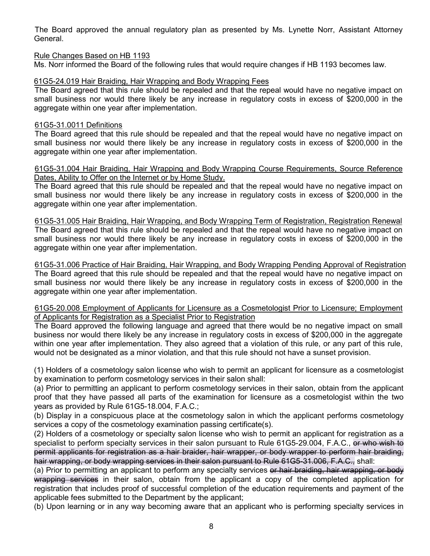The Board approved the annual regulatory plan as presented by Ms. Lynette Norr, Assistant Attorney General.

## Rule Changes Based on HB 1193

Ms. Norr informed the Board of the following rules that would require changes if HB 1193 becomes law.

## 61G5-24.019 Hair Braiding, Hair Wrapping and Body Wrapping Fees

The Board agreed that this rule should be repealed and that the repeal would have no negative impact on small business nor would there likely be any increase in regulatory costs in excess of \$200,000 in the aggregate within one year after implementation.

## 61G5-31.0011 Definitions

The Board agreed that this rule should be repealed and that the repeal would have no negative impact on small business nor would there likely be any increase in regulatory costs in excess of \$200,000 in the aggregate within one year after implementation.

## 61G5-31.004 Hair Braiding, Hair Wrapping and Body Wrapping Course Requirements, Source Reference Dates, Ability to Offer on the Internet or by Home Study.

The Board agreed that this rule should be repealed and that the repeal would have no negative impact on small business nor would there likely be any increase in regulatory costs in excess of \$200,000 in the aggregate within one year after implementation.

61G5-31.005 Hair Braiding, Hair Wrapping, and Body Wrapping Term of Registration, Registration Renewal The Board agreed that this rule should be repealed and that the repeal would have no negative impact on small business nor would there likely be any increase in regulatory costs in excess of \$200,000 in the aggregate within one year after implementation.

61G5-31.006 Practice of Hair Braiding, Hair Wrapping, and Body Wrapping Pending Approval of Registration The Board agreed that this rule should be repealed and that the repeal would have no negative impact on small business nor would there likely be any increase in regulatory costs in excess of \$200,000 in the aggregate within one year after implementation.

## 61G5-20.008 Employment of Applicants for Licensure as a Cosmetologist Prior to Licensure; Employment of Applicants for Registration as a Specialist Prior to Registration

The Board approved the following language and agreed that there would be no negative impact on small business nor would there likely be any increase in regulatory costs in excess of \$200,000 in the aggregate within one year after implementation. They also agreed that a violation of this rule, or any part of this rule, would not be designated as a minor violation, and that this rule should not have a sunset provision.

(1) Holders of a cosmetology salon license who wish to permit an applicant for licensure as a cosmetologist by examination to perform cosmetology services in their salon shall:

(a) Prior to permitting an applicant to perform cosmetology services in their salon, obtain from the applicant proof that they have passed all parts of the examination for licensure as a cosmetologist within the two years as provided by Rule 61G5-18.004, F.A.C.;

(b) Display in a conspicuous place at the cosmetology salon in which the applicant performs cosmetology services a copy of the cosmetology examination passing certificate(s).

(2) Holders of a cosmetology or specialty salon license who wish to permit an applicant for registration as a specialist to perform specialty services in their salon pursuant to Rule 61G5-29.004, F.A.C., or who wish to permit applicants for registration as a hair braider, hair wrapper, or body wrapper to perform hair braiding, hair wrapping, or body wrapping services in their salon pursuant to Rule 61G5-31.006, F.A.C., shall:

(a) Prior to permitting an applicant to perform any specialty services or hair braiding, hair wrapping, or body wrapping services in their salon, obtain from the applicant a copy of the completed application for registration that includes proof of successful completion of the education requirements and payment of the applicable fees submitted to the Department by the applicant;

(b) Upon learning or in any way becoming aware that an applicant who is performing specialty services in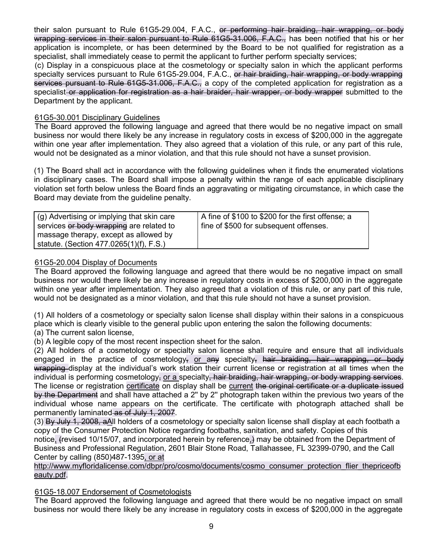their salon pursuant to Rule 61G5-29.004, F.A.C., or performing hair braiding, hair wrapping, or body wrapping services in their salon pursuant to Rule 61G5-31.006, F.A.C., has been notified that his or her application is incomplete, or has been determined by the Board to be not qualified for registration as a specialist, shall immediately cease to permit the applicant to further perform specialty services;

(c) Display in a conspicuous place at the cosmetology or specialty salon in which the applicant performs specialty services pursuant to Rule 61G5-29.004, F.A.C., or hair braiding, hair wrapping, or body wrapping services pursuant to Rule 61G5-31.006, F.A.C., a copy of the completed application for registration as a specialist or application for registration as a hair braider, hair wrapper, or body wrapper submitted to the Department by the applicant.

# 61G5-30.001 Disciplinary Guidelines

The Board approved the following language and agreed that there would be no negative impact on small business nor would there likely be any increase in regulatory costs in excess of \$200,000 in the aggregate within one year after implementation. They also agreed that a violation of this rule, or any part of this rule, would not be designated as a minor violation, and that this rule should not have a sunset provision.

(1) The Board shall act in accordance with the following guidelines when it finds the enumerated violations in disciplinary cases. The Board shall impose a penalty within the range of each applicable disciplinary violation set forth below unless the Board finds an aggravating or mitigating circumstance, in which case the Board may deviate from the guideline penalty.

| (g) Advertising or implying that skin care                                        | A fine of \$100 to \$200 for the first offense; a |
|-----------------------------------------------------------------------------------|---------------------------------------------------|
| services or body wrapping are related to<br>massage therapy, except as allowed by | fine of \$500 for subsequent offenses.            |
| statute. (Section 477.0265(1)(f), F.S.)                                           |                                                   |

# 61G5-20.004 Display of Documents

The Board approved the following language and agreed that there would be no negative impact on small business nor would there likely be any increase in regulatory costs in excess of \$200,000 in the aggregate within one year after implementation. They also agreed that a violation of this rule, or any part of this rule, would not be designated as a minor violation, and that this rule should not have a sunset provision.

(1) All holders of a cosmetology or specialty salon license shall display within their salons in a conspicuous place which is clearly visible to the general public upon entering the salon the following documents:

(a) The current salon license,

(b) A legible copy of the most recent inspection sheet for the salon.

(2) All holders of a cosmetology or specialty salon license shall require and ensure that all individuals engaged in the practice of cosmetology, or any specialty, hair braiding, hair wrapping, or body wrapping display at the individual's work station their current license or registration at all times when the individual is performing cosmetology, or a specialty, hair braiding, hair wrapping, or body wrapping services. The license or registration certificate on display shall be current the original certificate or a duplicate issued by the Department and shall have attached a 2" by 2" photograph taken within the previous two years of the individual whose name appears on the certificate. The certificate with photograph attached shall be permanently laminated as of July 1, 2007.

(3) By July 1, 2008, aAll holders of a cosmetology or specialty salon license shall display at each footbath a copy of the Consumer Protection Notice regarding footbaths, sanitation, and safety. Copies of this notice, (revised 10/15/07, and incorporated herein by reference,) may be obtained from the Department of Business and Professional Regulation, 2601 Blair Stone Road, Tallahassee, FL 32399-0790, and the Call Center by calling (850)487-1395, or at

## http://www.myfloridalicense.com/dbpr/pro/cosmo/documents/cosmo\_consumer\_protection\_flier\_thepriceofb eauty.pdf.

# 61G5-18.007 Endorsement of Cosmetologists

The Board approved the following language and agreed that there would be no negative impact on small business nor would there likely be any increase in regulatory costs in excess of \$200,000 in the aggregate